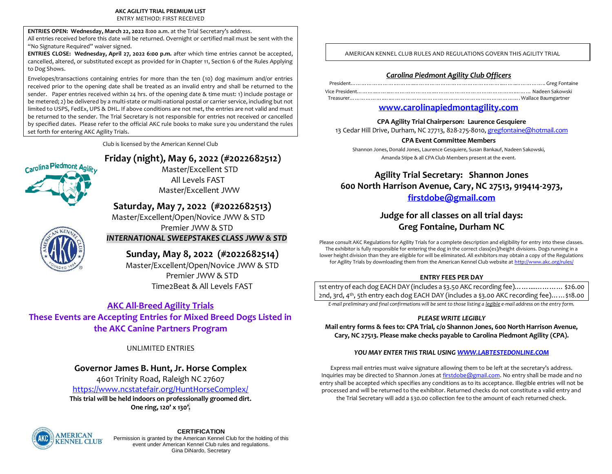ENTRY METHOD: FIRST RECEIVED

**ENTRIES OPEN: Wednesday, March 22, 2022 8:00 a.m.** at the Trial Secretary's address.

All entries received before this date will be returned. Overnight or certified mail must be sent with the "No Signature Required" waiver signed.

**ENTRIES CLOSE: Wednesday, April 27, 2022 6:00 p.m.** after which time entries cannot be accepted, cancelled, altered, or substituted except as provided for in Chapter 11, Section 6 of the Rules Applying to Dog Shows.

Envelopes/transactions containing entries for more than the ten (10) dog maximum and/or entries received prior to the opening date shall be treated as an invalid entry and shall be returned to the sender. Paper entries received within 24 hrs. of the opening date & time must: 1) include postage or be metered; 2) be delivered by a multi-state or multi-national postal or carrier service, including but not limited to USPS, FedEx, UPS & DHL. If above conditions are not met, the entries are not valid and must be returned to the sender. The Trial Secretary is not responsible for entries not received or cancelled by specified dates. Please refer to the official AKC rule books to make sure you understand the rules set forth for entering AKC Agility Trials.

Club is licensed by the American Kennel Club

# **Friday (night), May 6, 2022 (#2022682512)**

Master/Excellent STD All Levels FAST Master/Excellent JWW

# **Saturday, May 7, 2022 (#2022682513)**

 Master/Excellent/Open/Novice JWW & STD Premier JWW & STD

## *INTERNATIONAL SWEEPSTAKES CLASS JWW & STD*

# **Sunday, May 8, 2022 (#2022682514)**

 Master/Excellent/Open/Novice JWW & STD Premier JWW & STD Time2Beat & All Levels FAST

# **AKC All-Breed Agility Trials**

**These Events are Accepting Entries for Mixed Breed Dogs Listed in the AKC Canine Partners Program**

## UNLIMITED ENTRIES

# **Governor James B. Hunt, Jr. Horse Complex**

4601 Trinity Road, Raleigh NC 27607 <https://www.ncstatefair.org/HuntHorseComplex/> **This trial will be held indoors on professionally groomed dirt. One ring, 120' x 130'.**



Carolina Piedmont Agility

**CERTIFICATION** Permission is granted by the American Kennel Club for the holding of this event under American Kennel Club rules and regulations. Gina DiNardo, Secretary

AMERICAN KENNEL CLUB RULES AND REGULATIONS GOVERN THIS AGILITY TRIAL

## *Carolina Piedmont Agility Club Officers*

## **[www.carolinapiedmontagility.com](http://www.carolinapiedmontagility.com/)**

## **CPA Agility Trial Chairperson: Laurence Gesquiere**

13 Cedar Hill Drive, Durham, NC 27713, 828-275-8010[, gregfontaine@hotmail.com](mailto:gregfontaine@hotmail.com)

### **CPA Event Committee Members**

Shannon Jones, Donald Jones, Laurence Gesquiere, Susan Bankauf, Nadeen Sakowski, Amanda Stipe & all CPA Club Members present at the event.

# **Agility Trial Secretary: Shannon Jones 600 North Harrison Avenue, Cary, NC 27513, 919414-2973, [firstdobe@gmail.com](mailto:firstdobe@gmail.com)**

# **Judge for all classes on all trial days: Greg Fontaine, Durham NC**

Please consult AKC Regulations for Agility Trials for a complete description and eligibility for entry into these classes. The exhibitor is fully responsible for entering the dog in the correct class(es)/height divisions. Dogs running in a lower height division than they are eligible for will be eliminated. All exhibitors may obtain a copy of the Regulations for Agility Trials by downloading them from the American Kennel Club website a[t http://www.akc.org/rules/](http://www.akc.org/rules/)

## **ENTRY FEES PER DAY**

1st entry of each dog EACH DAY (includes a \$3.50 AKC recording fee)……....………… \$26.00 2nd, 3rd, 4th, 5th entry each dog EACH DAY (includes a \$3.00 AKC recording fee)……\$18.00

*E-mail preliminary and final confirmations will be sent to those listing a legible e-mail address on the entry form.*

## *PLEASE WRITE LEGIBLY*

**Mail entry forms & fees to: CPA Trial, c/o Shannon Jones, 600 North Harrison Avenue, Cary, NC 27513. Please make checks payable to Carolina Piedmont Agility (CPA).**

## *YOU MAY ENTER THIS TRIAL USIN[G WWW.LABTESTEDONLINE.COM](http://www.labtestedonline.com/)*

Express mail entries must waive signature allowing them to be left at the secretary's address. Inquiries may be directed to Shannon Jones a[t firstdobe@gmail.com.](mailto:firstdobe@gmail.com) No entry shall be made and no entry shall be accepted which specifies any conditions as to its acceptance. Illegible entries will not be processed and will be returned to the exhibitor. Returned checks do not constitute a valid entry and the Trial Secretary will add a \$30.00 collection fee to the amount of each returned check.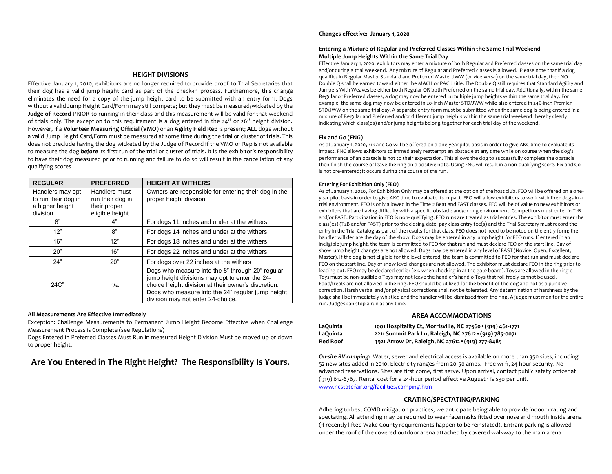#### **HEIGHT DIVISIONS**

Effective January 1, 2010, exhibitors are no longer required to provide proof to Trial Secretaries that their dog has a valid jump height card as part of the check-in process. Furthermore, this change eliminates the need for a copy of the jump height card to be submitted with an entry form. Dogs without a valid Jump Height Card/Form may still compete; but they must be measured/wicketed by the **Judge of Record** PRIOR to running in their class and this measurement will be valid for that weekend of trials only. The exception to this requirement is a dog entered in the 24" or 26" height division. However, if a **Volunteer Measuring Official (VMO**) or an **Agility Field Rep** is present; **ALL** dogs without a valid Jump Height Card/Form must be measured at some time during the trial or cluster of trials. This does not preclude having the dog wicketed by the Judge of Record if the VMO or Rep is not available to measure the dog *before* its first run of the trial or cluster of trials. It is the exhibitor's responsibility to have their dog measured prior to running and failure to do so will result in the cancellation of any qualifying scores.

| <b>REGULAR</b>                                                          | <b>PREFERRED</b>                                                      | <b>HEIGHT AT WITHERS</b>                                                                                                                                                                                                                            |
|-------------------------------------------------------------------------|-----------------------------------------------------------------------|-----------------------------------------------------------------------------------------------------------------------------------------------------------------------------------------------------------------------------------------------------|
| Handlers may opt<br>to run their dog in<br>a higher height<br>division. | Handlers must<br>run their dog in<br>their proper<br>eligible height. | Owners are responsible for entering their dog in the<br>proper height division.                                                                                                                                                                     |
| 8"                                                                      | 4"                                                                    | For dogs 11 inches and under at the withers                                                                                                                                                                                                         |
| 12"                                                                     | 8"                                                                    | For dogs 14 inches and under at the withers                                                                                                                                                                                                         |
| 16"                                                                     | 12"                                                                   | For dogs 18 inches and under at the withers                                                                                                                                                                                                         |
| 20"                                                                     | 16"                                                                   | For dogs 22 inches and under at the withers                                                                                                                                                                                                         |
| 24"                                                                     | 20"                                                                   | For dogs over 22 inches at the withers                                                                                                                                                                                                              |
| $24C$ "                                                                 | n/a                                                                   | Dogs who measure into the 8" through 20" regular<br>jump height divisions may opt to enter the 24-<br>choice height division at their owner's discretion.<br>Dogs who measure into the 24" regular jump height<br>division may not enter 24-choice. |

#### **All Measurements Are Effective Immediately**

Exception: Challenge Measurements to Permanent Jump Height Become Effective when Challenge Measurement Process is Complete (see Regulations)

Dogs Entered in Preferred Classes Must Run in measured Height Division Must be moved up or down to proper height.

# **Are You Entered in The Right Height? The Responsibility Is Yours.**

#### **Changes effective: January 1, 2020**

#### **Entering a Mixture of Regular and Preferred Classes Within the Same Trial Weekend Multiple Jump Heights Within the Same Trial Day**

Effective January 1, 2020, exhibitors may enter a mixture of both Regular and Preferred classes on the same trial day and/or during a trial weekend. Any mixture of Regular and Preferred classes is allowed. Please note that if a dog qualifies in Regular Master Standard and Preferred Master JWW (or vice versa) on the same trial day, then NO Double Q shall be earned toward either the MACH or PACH title. The Double Q still requires that Standard Agility and Jumpers With Weaves be either both Regular OR both Preferred on the same trial day. Additionally, within the same Regular or Preferred classes, a dog may now be entered in multiple jump heights within the same trial day. For example, the same dog may now be entered in 20-inch Master STD/JWW while also entered in 24C-inch Premier STD/JWW on the same trial day. A separate entry form must be submitted when the same dog is being entered in a mixture of Regular and Preferred and/or different jump heights within the same trial weekend thereby clearly indicating which class(es) and/or jump heights belong together for each trial day of the weekend.

#### **Fix and Go (FNG)**

As of January 1, 2020, Fix and Go will be offered on a one-year pilot basis in order to give AKC time to evaluate its impact. FNG allows exhibitors to immediately reattempt an obstacle at any time while on course when the dog's performance of an obstacle is not to their expectation. This allows the dog to successfully complete the obstacle then finish the course or leave the ring on a positive note. Using FNG will result in a non-qualifying score. Fix and Go is not pre-entered; it occurs during the course of the run.

#### **Entering For Exhibition Only (FEO)**

As of January 1, 2020, For Exhibition Only may be offered at the option of the host club. FEO will be offered on a oneyear pilot basis in order to give AKC time to evaluate its impact. FEO will allow exhibitors to work with their dogs in a trial environment. FEO is only allowed in the Time 2 Beat and FAST classes. FEO will be of value to new exhibitors or exhibitors that are having difficulty with a specific obstacle and/or ring environment. Competitors must enter in T2B and/or FAST. Participation in FEO is non- qualifying. FEO runs are treated as trial entries. The exhibitor must enter the class(es) (T2B and/or FAST) prior to the closing date, pay class entry fee(s) and the Trial Secretary must record the entry in the Trial Catalog as part of the results for that class. FEO does not need to be noted on the entry form; the handler will declare the day of the show. Dogs may be entered in any jump height for FEO runs. If entered in an ineligible jump height, the team is committed to FEO for that run and must declare FEO on the start line. Day of show jump height changes are not allowed. Dogs may be entered in any level of FAST (Novice, Open, Excellent, Master). If the dog is not eligible for the level entered, the team is committed to FEO for that run and must declare FEO on the start line. Day of show level changes are not allowed. The exhibitor must declare FEO in the ring prior to leading out. FEO may be declared earlier (ex. when checking in at the gate board). Toys are allowed in the ring o Toys must be non-audible o Toys may not leave the handler's hand o Toys that roll freely cannot be used. Food/treats are not allowed in the ring. FEO should be utilized for the benefit of the dog and not as a punitive correction. Harsh verbal and /or physical corrections shall not be tolerated. Any determination of harshness by the judge shall be immediately whistled and the handler will be dismissed from the ring. A judge must monitor the entire run. Judges can stop a run at any time.

#### **AREA ACCOMMODATIONS**

| LaQuinta        | 1001 Hospitality Ct, Morrisville, NC 27560 · (919) 461-1771 |
|-----------------|-------------------------------------------------------------|
| LaQuinta        | 2211 Summit Park Ln, Raleigh, NC 27612 · (919) 785-0071     |
| <b>Red Roof</b> | 3921 Arrow Dr, Raleigh, NC 27612 . (919) 277-8485           |

*On-site RV camping:* Water, sewer and electrical access is available on more than 350 sites, including 52 new sites added in 2010. Electricity ranges from 20-50 amps. Free wi-fi, 24-hour security. No advanced reservations. Sites are first come, first serve. Upon arrival, contact public safety officer at (919) 612-6767. Rental cost for a 24-hour period effective August 1 is \$30 per unit. [www.ncstatefair.org/facilities/camping.htm](http://www.ncstatefair.org/facilities/camping.htm)

#### **CRATING/SPECTATING/PARKING**

Adhering to best COVID mitigation practices, we anticipate being able to provide indoor crating and spectating. All attending may be required to wear facemasks fitted over nose and mouth inside arena (if recently lifted Wake County requirements happen to be reinstated). Entrant parking is allowed under the roof of the covered outdoor arena attached by covered walkway to the main arena.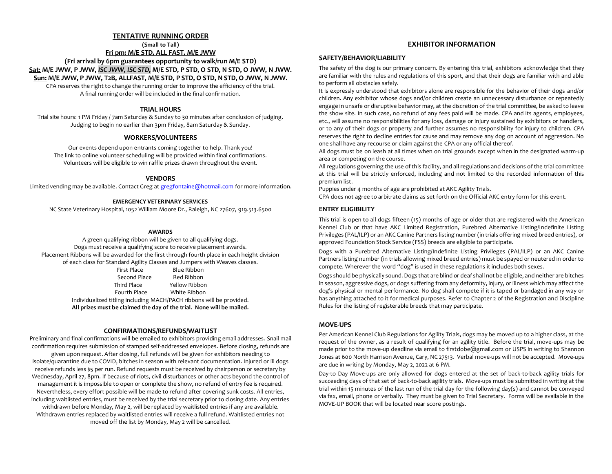#### **TENTATIVE RUNNING ORDER**

**(Small to Tall)**

**Fri pm: M/E STD, ALL FAST, M/E JWW**

**(Fri arrival by 6pm guarantees opportunity to walk/run M/E STD)**

**Sat: M/E JWW, P JWW,** *ISC JWW, ISC STD,* **M/E STD, P STD, O STD, N STD, O JWW, N JWW.**

**Sun: M/E JWW, P JWW, T2B, ALLFAST, M/E STD, P STD, O STD, N STD, O JWW, N JWW.**

CPA reserves the right to change the running order to improve the efficiency of the trial. A final running order will be included in the final confirmation.

#### **TRIAL HOURS**

Trial site hours: 1 PM Friday / 7am Saturday & Sunday to 30 minutes after conclusion of judging. Judging to begin no earlier than 3pm Friday, 8am Saturday & Sunday.

#### **WORKERS/VOLUNTEERS**

Our events depend upon entrants coming together to help. Thank you! The link to online volunteer scheduling will be provided within final confirmations. Volunteers will be eligible to win raffle prizes drawn throughout the event.

#### **VENDORS**

Limited vending may be available. Contact Greg a[t gregfontaine@hotmail.com](mailto:gregfontaine@hotmail.com) for more information.

#### **EMERGENCY VETERINARY SERVICES**

NC State Veterinary Hospital, 1052 William Moore Dr., Raleigh, NC 27607, 919.513.6500

#### **AWARDS**

A green qualifying ribbon will be given to all qualifying dogs. Dogs must receive a qualifying score to receive placement awards. Placement Ribbons will be awarded for the first through fourth place in each height division of each class for Standard Agility Classes and Jumpers with Weaves classes.

First Place Blue Ribbon<br>Second Place Red Ribbon Red Ribbon Third Place Yellow Ribbon Fourth Place White Ribbon

Individualized titling including MACH/PACH ribbons will be provided. **All prizes must be claimed the day of the trial. None will be mailed.**

#### **CONFIRMATIONS/REFUNDS/WAITLIST**

Preliminary and final confirmations will be emailed to exhibitors providing email addresses. Snail mail confirmation requires submission of stamped self-addressed envelopes. Before closing, refunds are given upon request. After closing, full refunds will be given for exhibitors needing to isolate/quarantine due to COVID, bitches in season with relevant documentation. Injured or ill dogs receive refunds less \$5 per run. Refund requests must be received by chairperson or secretary by Wednesday, April 27, 8pm. If because of riots, civil disturbances or other acts beyond the control of management it is impossible to open or complete the show, no refund of entry fee is required. Nevertheless, every effort possible will be made to refund after covering sunk costs. All entries, including waitlisted entries, must be received by the trial secretary prior to closing date. Any entries withdrawn before Monday, May 2, will be replaced by waitlisted entries if any are available. Withdrawn entries replaced by waitlisted entries will receive a full refund. Waitlisted entries not moved off the list by Monday, May 2 will be cancelled.

#### **EXHIBITOR INFORMATION**

#### **SAFETY/BEHAVIOR/LIABILITY**

The safety of the dog is our primary concern. By entering this trial, exhibitors acknowledge that they are familiar with the rules and regulations of this sport, and that their dogs are familiar with and able to perform all obstacles safely.

It is expressly understood that exhibitors alone are responsible for the behavior of their dogs and/or children. Any exhibitor whose dogs and/or children create an unnecessary disturbance or repeatedly engage in unsafe or disruptive behavior may, at the discretion of the trial committee, be asked to leave the show site. In such case, no refund of any fees paid will be made. CPA and its agents, employees, etc., will assume no responsibilities for any loss, damage or injury sustained by exhibitors or handlers, or to any of their dogs or property and further assumes no responsibility for injury to children. CPA reserves the right to decline entries for cause and may remove any dog on account of aggression. No one shall have any recourse or claim against the CPA or any official thereof.

All dogs must be on leash at all times when on trial grounds except when in the designated warm-up area or competing on the course.

All regulations governing the use of this facility, and all regulations and decisions of the trial committee at this trial will be strictly enforced, including and not limited to the recorded information of this premium list.

Puppies under 4 months of age are prohibited at AKC Agility Trials.

CPA does not agree to arbitrate claims as set forth on the Official AKC entry form for this event.

#### **ENTRY ELIGIBILITY**

This trial is open to all dogs fifteen (15) months of age or older that are registered with the American Kennel Club or that have AKC Limited Registration, Purebred Alternative Listing/Indefinite Listing Privileges (PAL/ILP) or an AKC Canine Partners listing number (in trials offering mixed breed entries), or approved Foundation Stock Service (FSS) breeds are eligible to participate.

Dogs with a Purebred Alternative Listing/Indefinite Listing Privileges (PAL/ILP) or an AKC Canine Partners listing number (in trials allowing mixed breed entries) must be spayed or neutered in order to compete. Wherever the word "dog" is used in these regulations it includes both sexes.

Dogs should be physically sound. Dogs that are blind or deaf shall not be eligible, and neither are bitches in season, aggressive dogs, or dogs suffering from any deformity, injury, or illness which may affect the dog's physical or mental performance. No dog shall compete if it is taped or bandaged in any way or has anything attached to it for medical purposes. Refer to Chapter 2 of the Registration and Discipline Rules for the listing of registerable breeds that may participate.

#### **MOVE-UPS**

Per American Kennel Club Regulations for Agility Trials, dogs may be moved up to a higher class, at the request of the owner, as a result of qualifying for an agility title. Before the trial, move-ups may be made prior to the move-up deadline via email to firstdobe@gmail.com or USPS in writing to Shannon Jones at 600 North Harrison Avenue, Cary, NC 27513. Verbal move-ups will not be accepted. Move-ups are due in writing by Monday, May 2, 2022 at 6 PM.

Day-to Day Move-ups are only allowed for dogs entered at the set of back-to-back agility trials for succeeding days of that set of back-to-back agility trials. Move-ups must be submitted in writing at the trial within 15 minutes of the last run of the trial day for the following day(s) and cannot be conveyed via fax, email, phone or verbally. They must be given to Trial Secretary. Forms will be available in the MOVE-UP BOOK that will be located near score postings.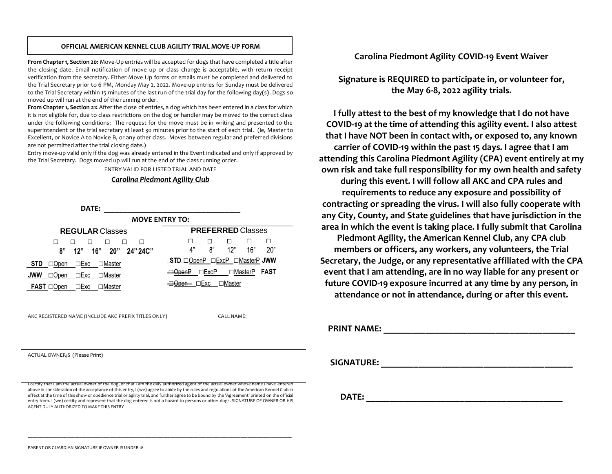#### **OFFICIAL AMERICAN KENNEL CLUB AGILITY TRIAL MOVE-UP FORM**

**From Chapter 1, Section 20:** Move-Up entries will be accepted for dogs that have completed a title after the closing date. Email notification of move up or class change is acceptable, with return receipt verification from the secretary. Either Move Up forms or emails must be completed and delivered to the Trial Secretary prior to 6 PM, Monday May 2, 2022. Move-up entries for Sunday must be delivered to the Trial Secretary within 15 minutes of the last run of the trial day for the following day(s). Dogs so moved up will run at the end of the running order.

**From Chapter 1, Section 21:** After the close of entries, a dog which has been entered in a class for which it is not eligible for, due to class restrictions on the dog or handler may be moved to the correct class under the following conditions: The request for the move must be in writing and presented to the superintendent or the trial secretary at least 30 minutes prior to the start of each trial. (ie, Master to Excellent, or Novice A to Novice B, or any other class. Moves between regular and preferred divisions are not permitted after the trial closing date.)

Entry move-up valid only if the dog was already entered in the Event indicated and only if approved by the Trial Secretary. Dogs moved up will run at the end of the class running order.

ENTRY VALID FOR LISTED TRIAL AND DATE

## *Carolina Piedmont Agility Club*



I certify that I am the actual owner of the dog, or that I am the duly authorized agent of the actual owner whose name I have entered above in consideration of the acceptance of this entry, I (we) agree to abide by the rules and regulations of the American Kennel Club in effect at the time of this show or obedience trial or agility trial, and further agree to be bound by the 'Agreement' printed on the official entry form. I (we) certify and represent that the dog entered is not a hazard to persons or other dogs. SIGNATURE OF OWNER OR HIS AGENT DULY AUTHORIZED TO MAKE THIS ENTRY

\_\_\_\_\_\_\_\_\_\_\_\_\_\_\_\_\_\_\_\_\_\_\_\_\_\_\_\_\_\_\_\_\_\_\_\_\_\_\_\_\_\_\_\_\_\_\_\_\_\_\_\_\_\_\_\_\_\_\_\_\_\_\_\_\_\_\_\_\_\_\_\_\_\_\_\_\_\_\_\_\_\_\_\_\_\_\_\_\_\_\_\_\_\_\_\_\_\_\_\_\_\_\_\_\_\_\_\_\_\_\_\_\_

# **Carolina Piedmont Agility COVID-19 Event Waiver**

**Signature is REQUIRED to participate in, or volunteer for, the May 6-8, 2022 agility trials.**

**I fully attest to the best of my knowledge that I do not have COVID-19 at the time of attending this agility event. I also attest that I have NOT been in contact with, or exposed to, any known carrier of COVID-19 within the past 15 days. I agree that I am attending this Carolina Piedmont Agility (CPA) event entirely at my own risk and take full responsibility for my own health and safety during this event. I will follow all AKC and CPA rules and requirements to reduce any exposure and possibility of contracting or spreading the virus. I will also fully cooperate with any City, County, and State guidelines that have jurisdiction in the area in which the event is taking place. I fully submit that Carolina Piedmont Agility, the American Kennel Club, any CPA club members or officers, any workers, any volunteers, the Trial Secretary, the Judge, or any representative affiliated with the CPA event that I am attending, are in no way liable for any present or future COVID-19 exposure incurred at any time by any person, in attendance or not in attendance, during or after this event.** 

**PRINT NAME: \_\_\_\_\_\_\_\_\_\_\_\_\_\_\_\_\_\_\_\_\_\_\_\_\_\_\_\_\_\_\_\_\_\_\_\_\_\_\_\_\_** 

**SIGNATURE:**  $\blacksquare$ 

**DATE:**  $\blacksquare$